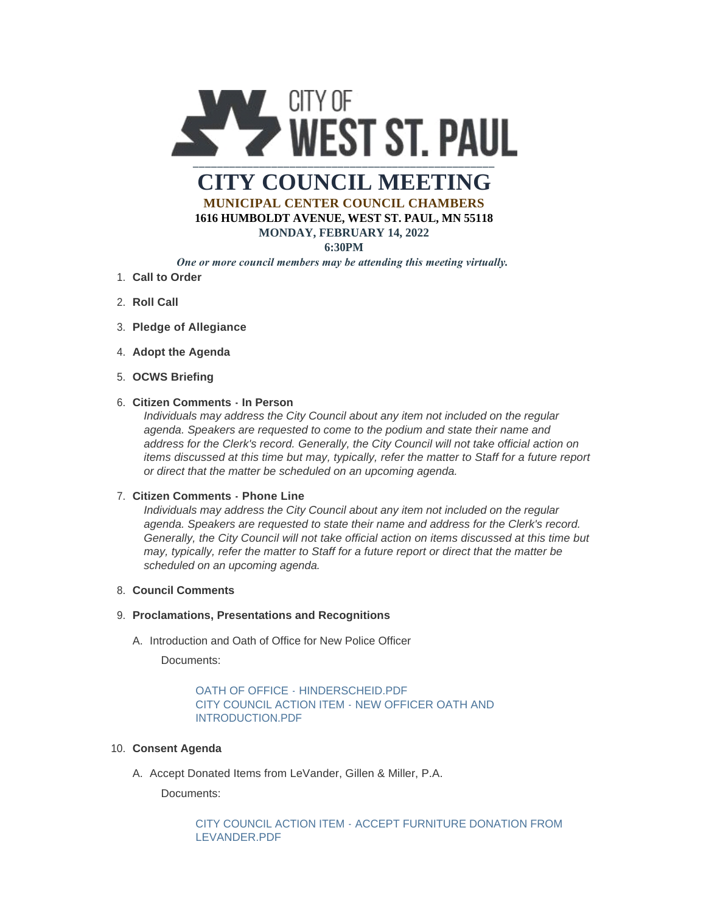

# **CITY COUNCIL MEETING MUNICIPAL CENTER COUNCIL CHAMBERS 1616 HUMBOLDT AVENUE, WEST ST. PAUL, MN 55118**

#### **MONDAY, FEBRUARY 14, 2022**

## **6:30PM**

# *One or more council members may be attending this meeting virtually.*

- **Call to Order** 1.
- 2. **Roll Call**
- **Pledge of Allegiance** 3.
- 4. Adopt the Agenda
- **OCWS Briefing** 5.

## **Citizen Comments - In Person** 6.

*Individuals may address the City Council about any item not included on the regular agenda. Speakers are requested to come to the podium and state their name and address for the Clerk's record. Generally, the City Council will not take official action on items discussed at this time but may, typically, refer the matter to Staff for a future report or direct that the matter be scheduled on an upcoming agenda.*

## **Citizen Comments - Phone Line** 7.

*Individuals may address the City Council about any item not included on the regular agenda. Speakers are requested to state their name and address for the Clerk's record. Generally, the City Council will not take official action on items discussed at this time but may, typically, refer the matter to Staff for a future report or direct that the matter be scheduled on an upcoming agenda.*

#### **Council Comments** 8.

### **Proclamations, Presentations and Recognitions** 9.

A. Introduction and Oath of Office for New Police Officer

Documents:

# [OATH OF OFFICE - HINDERSCHEID.PDF](https://www.wspmn.gov/AgendaCenter/ViewFile/Item/12450?fileID=19476) [CITY COUNCIL ACTION ITEM - NEW OFFICER OATH AND](https://www.wspmn.gov/AgendaCenter/ViewFile/Item/12450?fileID=19533)  INTRODUCTION.PDF

# **Consent Agenda** 10.

A. Accept Donated Items from LeVander, Gillen & Miller, P.A.

Documents:

# [CITY COUNCIL ACTION ITEM - ACCEPT FURNITURE DONATION FROM](https://www.wspmn.gov/AgendaCenter/ViewFile/Item/12451?fileID=19525)  LEVANDER.PDF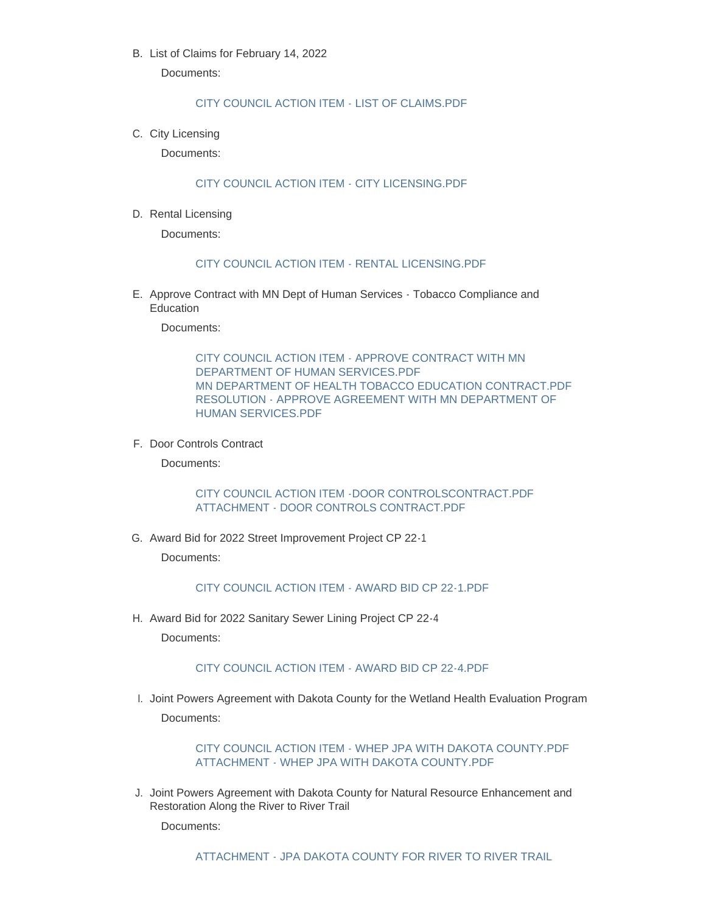B. List of Claims for February 14, 2022

Documents:

### [CITY COUNCIL ACTION ITEM - LIST OF CLAIMS.PDF](https://www.wspmn.gov/AgendaCenter/ViewFile/Item/12525?fileID=19506)

C. City Licensing

Documents:

## [CITY COUNCIL ACTION ITEM - CITY LICENSING.PDF](https://www.wspmn.gov/AgendaCenter/ViewFile/Item/12524?fileID=19523)

D. Rental Licensing

Documents:

#### [CITY COUNCIL ACTION ITEM - RENTAL LICENSING.PDF](https://www.wspmn.gov/AgendaCenter/ViewFile/Item/12517?fileID=19496)

E. Approve Contract with MN Dept of Human Services - Tobacco Compliance and Education

Documents:

[CITY COUNCIL ACTION ITEM - APPROVE CONTRACT WITH MN](https://www.wspmn.gov/AgendaCenter/ViewFile/Item/12454?fileID=19534)  DEPARTMENT OF HUMAN SERVICES.PDF [MN DEPARTMENT OF HEALTH TOBACCO EDUCATION CONTRACT.PDF](https://www.wspmn.gov/AgendaCenter/ViewFile/Item/12454?fileID=19483) [RESOLUTION - APPROVE AGREEMENT WITH MN DEPARTMENT OF](https://www.wspmn.gov/AgendaCenter/ViewFile/Item/12454?fileID=19482)  HUMAN SERVICES.PDF

F. Door Controls Contract

Documents:

#### [CITY COUNCIL ACTION ITEM -DOOR CONTROLSCONTRACT.PDF](https://www.wspmn.gov/AgendaCenter/ViewFile/Item/12515?fileID=19512) [ATTACHMENT - DOOR CONTROLS CONTRACT.PDF](https://www.wspmn.gov/AgendaCenter/ViewFile/Item/12515?fileID=19511)

G. Award Bid for 2022 Street Improvement Project CP 22-1

Documents:

#### [CITY COUNCIL ACTION ITEM - AWARD BID CP 22-1.PDF](https://www.wspmn.gov/AgendaCenter/ViewFile/Item/12496?fileID=19532)

H. Award Bid for 2022 Sanitary Sewer Lining Project CP 22-4

Documents:

## [CITY COUNCIL ACTION ITEM - AWARD BID CP 22-4.PDF](https://www.wspmn.gov/AgendaCenter/ViewFile/Item/12452?fileID=19531)

I. Joint Powers Agreement with Dakota County for the Wetland Health Evaluation Program Documents:

#### [CITY COUNCIL ACTION ITEM - WHEP JPA WITH DAKOTA COUNTY.PDF](https://www.wspmn.gov/AgendaCenter/ViewFile/Item/12453?fileID=19524) [ATTACHMENT - WHEP JPA WITH DAKOTA COUNTY.PDF](https://www.wspmn.gov/AgendaCenter/ViewFile/Item/12453?fileID=19497)

J. Joint Powers Agreement with Dakota County for Natural Resource Enhancement and Restoration Along the River to River Trail

Documents: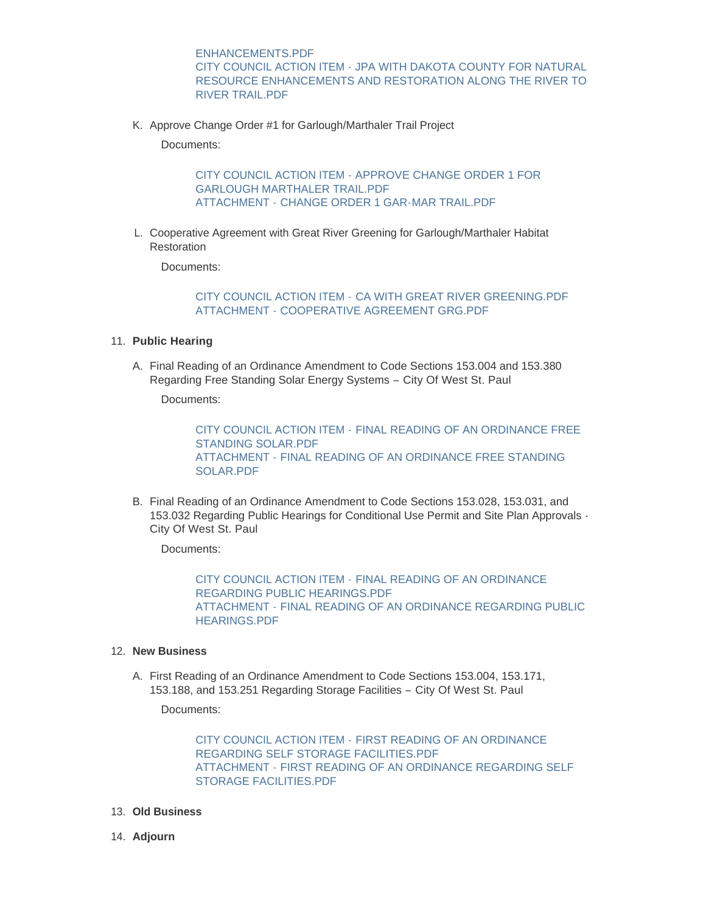ENHANCEMENTS.PDF CITY COUNCIL ACTION ITEM - JPA WITH DAKOTA COUNTY FOR NATURAL [RESOURCE ENHANCEMENTS AND RESTORATION ALONG THE RIVER TO](https://www.wspmn.gov/AgendaCenter/ViewFile/Item/12522?fileID=19528)  RIVER TRAIL.PDF

K. Approve Change Order #1 for Garlough/Marthaler Trail Project

Documents:

[CITY COUNCIL ACTION ITEM - APPROVE CHANGE ORDER 1 FOR](https://www.wspmn.gov/AgendaCenter/ViewFile/Item/12518?fileID=19526)  GARLOUGH MARTHALER TRAIL.PDF ATTACHMENT - [CHANGE ORDER 1 GAR-MAR TRAIL.PDF](https://www.wspmn.gov/AgendaCenter/ViewFile/Item/12518?fileID=19500)

L. Cooperative Agreement with Great River Greening for Garlough/Marthaler Habitat **Restoration** 

Documents:

#### CITY COUNCIL ACTION ITEM - [CA WITH GREAT RIVER GREENING.PDF](https://www.wspmn.gov/AgendaCenter/ViewFile/Item/12519?fileID=19527) ATTACHMENT - [COOPERATIVE AGREEMENT GRG.PDF](https://www.wspmn.gov/AgendaCenter/ViewFile/Item/12519?fileID=19504)

#### **Public Hearing** 11.

A. Final Reading of an Ordinance Amendment to Code Sections 153.004 and 153.380 Regarding Free Standing Solar Energy Systems – City Of West St. Paul

Documents:

CITY COUNCIL ACTION ITEM - [FINAL READING OF AN ORDINANCE FREE](https://www.wspmn.gov/AgendaCenter/ViewFile/Item/12497?fileID=19487)  STANDING SOLAR.PDF ATTACHMENT - [FINAL READING OF AN ORDINANCE FREE STANDING](https://www.wspmn.gov/AgendaCenter/ViewFile/Item/12497?fileID=19486)  SOLAR.PDF

B. Final Reading of an Ordinance Amendment to Code Sections 153.028, 153.031, and 153.032 Regarding Public Hearings for Conditional Use Permit and Site Plan Approvals - City Of West St. Paul

Documents:

CITY COUNCIL ACTION ITEM - FINAL READING OF AN ORDINANCE [REGARDING PUBLIC HEARINGS.PDF](https://www.wspmn.gov/AgendaCenter/ViewFile/Item/12498?fileID=19489) ATTACHMENT - [FINAL READING OF AN ORDINANCE REGARDING PUBLIC](https://www.wspmn.gov/AgendaCenter/ViewFile/Item/12498?fileID=19488)  HEARINGS.PDF

#### **New Business** 12.

A. First Reading of an Ordinance Amendment to Code Sections 153.004, 153.171, 153.188, and 153.251 Regarding Storage Facilities – City Of West St. Paul

Documents:

CITY COUNCIL ACTION ITEM - FIRST READING OF AN ORDINANCE [REGARDING SELF STORAGE FACILITIES.PDF](https://www.wspmn.gov/AgendaCenter/ViewFile/Item/12435?fileID=19499) ATTACHMENT - [FIRST READING OF AN ORDINANCE REGARDING SELF](https://www.wspmn.gov/AgendaCenter/ViewFile/Item/12435?fileID=19484)  STORAGE FACILITIES.PDF

- **Old Business** 13.
- **Adjourn** 14.